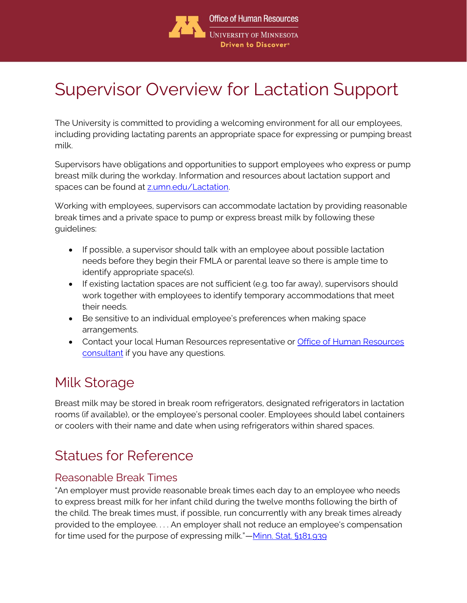

# Supervisor Overview for Lactation Support

The University is committed to providing a welcoming environment for all our employees, including providing lactating parents an appropriate space for expressing or pumping breast milk.

Supervisors have obligations and opportunities to support employees who express or pump breast milk during the workday. Information and resources about lactation support and spaces can be found at [z.umn.edu/Lactation.](file://///files.umn.edu/ohr/hrc/1%20COMMUNICATIONS%20WORK/COMMS%20GROUP/BRANDING/TEMPLATES--WORD-PPT/OHR%20Headers%20&%20Footers%204-5-18/Word%20Templates/z.umn.edu/Lactation) 

Working with employees, supervisors can accommodate lactation by providing reasonable break times and a private space to pump or express breast milk by following these guidelines:

- If possible, a supervisor should talk with an employee about possible lactation needs before they begin their FMLA or parental leave so there is ample time to identify appropriate space(s).
- If existing lactation spaces are not sufficient (e.g. too far away), supervisors should work together with employees to identify temporary accommodations that meet their needs.
- Be sensitive to an individual employee's preferences when making space arrangements.
- Contact your local Human Resources representative or [Office of Human Resources](https://humanresources.umn.edu/employee-relations/er-consultants)  [consultant](https://humanresources.umn.edu/employee-relations/er-consultants) if you have any questions.

### Milk Storage

Breast milk may be stored in break room refrigerators, designated refrigerators in lactation rooms (if available), or the employee's personal cooler. Employees should label containers or coolers with their name and date when using refrigerators within shared spaces.

## Statues for Reference

#### Reasonable Break Times

"An employer must provide reasonable break times each day to an employee who needs to express breast milk for her infant child during the twelve months following the birth of the child. The break times must, if possible, run concurrently with any break times already provided to the employee. . . . An employer shall not reduce an employee's compensation for time used for the purpose of expressing milk."—[Minn. Stat. §181.939](https://www.revisor.mn.gov/statutes/cite/181.939)